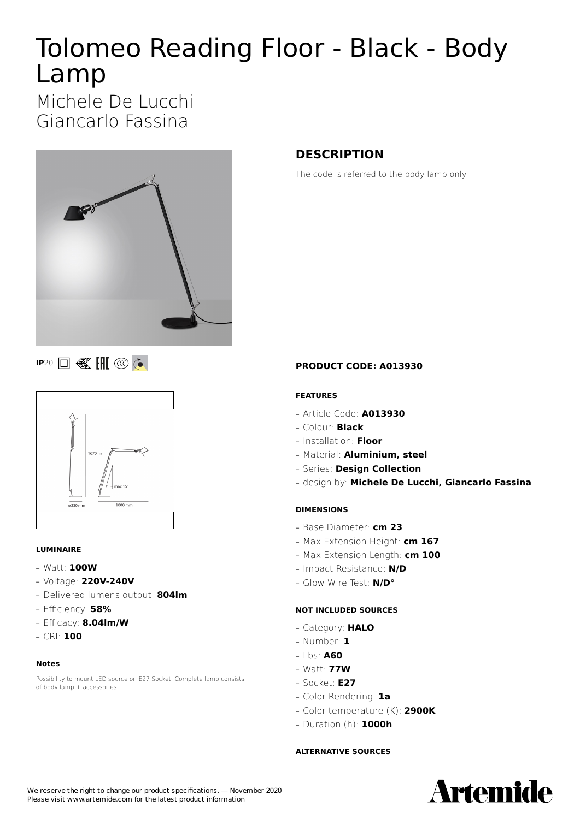# Tolomeo Reading Floor - Black - Body Lamp

Michele De Lucchi Giancarlo Fassina



**IP**20 **B K H**  $\circledcirc$  **C** 



### **LUMINAIRE**

- **—** Watt: **100W**
- **—** Voltage: **220V-240V**
- **—** Delivered lumens output: **804lm**
- **—** Efficiency: **58%**
- **—** Efficacy: **8.04lm/W**
- **—** CRI: **100**

#### **Notes**

Possibility to mount LED source on E27 Socket. Complete lamp consists of body lamp + accessories

# **DESCRIPTION**

The code is referred to the body lamp only

### **PRODUCT CODE: A013930**

### **FEATURES**

- **—** Article Code: **A013930**
- **—** Colour: **Black**
- **—** Installation: **Floor**
- **—** Material: **Aluminium, steel**
- **—** Series: **Design Collection**
- **—** design by: **Michele De Lucchi, Giancarlo Fassina**

### **DIMENSIONS**

- **—** Base Diameter: **cm 23**
- **—** Max Extension Height: **cm 167**
- **—** Max Extension Length: **cm 100**
- **—** Impact Resistance: **N/D**
- **—** Glow Wire Test: **N/D°**

### **NOT INCLUDED SOURCES**

- **—** Category: **HALO**
- **—** Number: **1**
- **—** Lbs: **A60**
- **—** Watt: **77W**
- **—** Socket: **E27**
- **—** Color Rendering: **1a**
- **—** Color temperature (K): **2900K**
- **—** Duration (h): **1000h**

#### **ALTERNATIVE SOURCES**